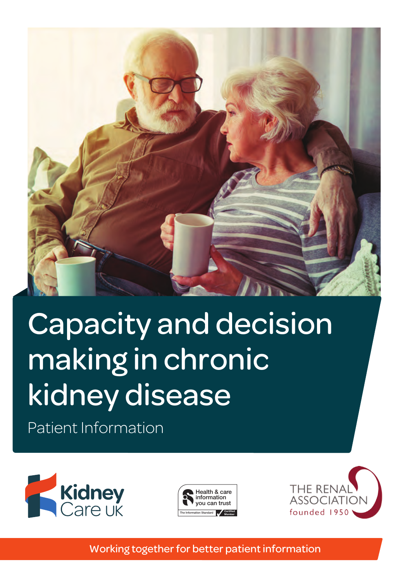

# kidney disease and the standard Capacity and decision making in chronic

Patient Information







The Information Standard has four logo versions for its members. They are designed to fit neatly  $\mathcal{L}$ 

Working together for better patient information use the logos shown above.

 $\mathcal{H}(\mathcal{A})$  is a careful  $\mathcal{H}(\mathcal{A})$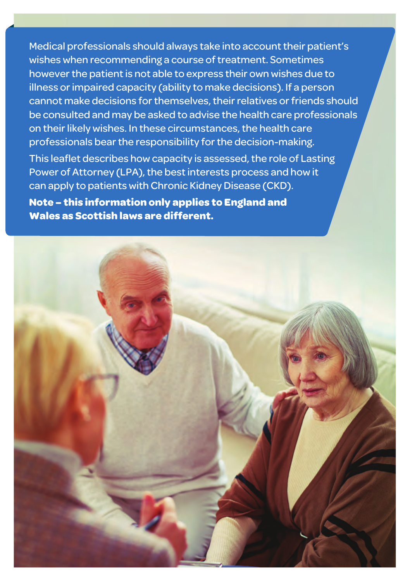Medical professionals should always take into account their patient's wishes when recommending a course of treatment. Sometimes however the patient is not able to express their own wishes due to illness or impaired capacity (ability to make decisions). If a person cannot make decisions for themselves, their relatives or friends should be consulted and may be asked to advise the health care professionals on their likely wishes. In these circumstances, the health care professionals bear the responsibility for the decision-making. This leaflet describes how capacity is assessed, the role of Lasting Power of Attorney (LPA), the best interests process and how it can apply to patients with Chronic Kidney Disease (CKD). **Note – this information only applies to England and Wales as Scottish laws are different.**

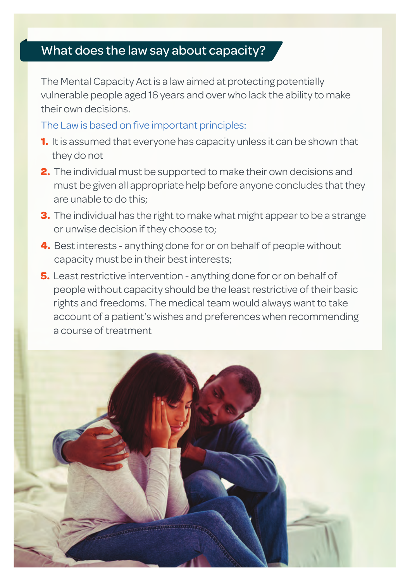# What does the law say about capacity?

The Mental Capacity Act is a law aimed at protecting potentially vulnerable people aged 16 years and over who lack the ability to make their own decisions.

#### The Law is based on five important principles:

- **1.** It is assumed that everyone has capacity unless it can be shown that they do not
- **2.** The individual must be supported to make their own decisions and must be given all appropriate help before anyone concludes that they are unable to do this;
- **3.** The individual has the right to make what might appear to be a strange or unwise decision if they choose to;
- **4.** Best interests anything done for or on behalf of people without capacity must be in their best interests;
- **5.** Least restrictive intervention anything done for or on behalf of people without capacity should be the least restrictive of their basic rights and freedoms. The medical team would always want to take account of a patient's wishes and preferences when recommending a course of treatment

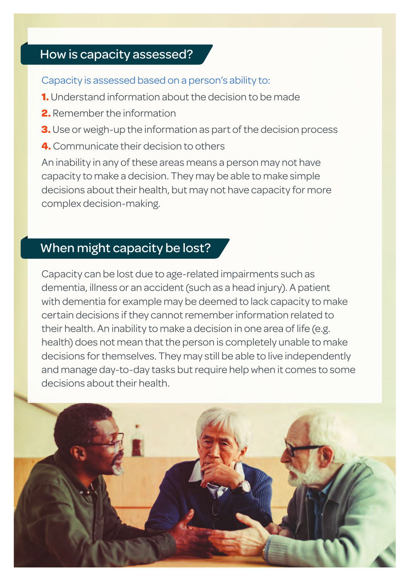## How is capacity assessed?

Capacity is assessed based on a person's ability to:

- **1.** Understand information about the decision to be made
- **2.** Remember the information
- **3.** Use or weigh-up the information as part of the decision process
- **4.** Communicate their decision to others

An inability in any of these areas means a person may not have capacity to make a decision. They may be able to make simple decisions about their health, but may not have capacity for more complex decision-making.

#### When might capacity be lost?

Capacity can be lost due to age-related impairments such as dementia, illness or an accident (such as a head injury). A patient with dementia for example may be deemed to lack capacity to make certain decisions if they cannot remember information related to their health. An inability to make a decision in one area of life (e.g. health) does not mean that the person is completely unable to make decisions for themselves. They may still be able to live independently and manage day-to-day tasks but require help when it comes to some decisions about their health.

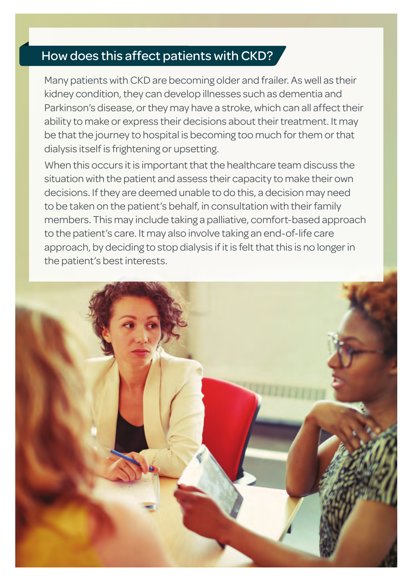# How does this affect patients with CKD?

Many patients with CKD are becoming older and frailer. As well as their kidney condition, they can develop illnesses such as dementia and Parkinson's disease, or they may have a stroke, which can all affect their ability to make or express their decisions about their treatment. It may be that the journey to hospital is becoming too much for them or that dialysis itself is frightening or upsetting.

When this occurs it is important that the healthcare team discuss the situation with the patient and assess their capacity to make their own decisions. If they are deemed unable to do this, a decision may need to be taken on the patient's behalf, in consultation with their family members. This may include taking a palliative, comfort-based approach to the patient's care. It may also involve taking an end-of-life care approach, by deciding to stop dialysis if it is felt that this is no longer in the patient's best interests.

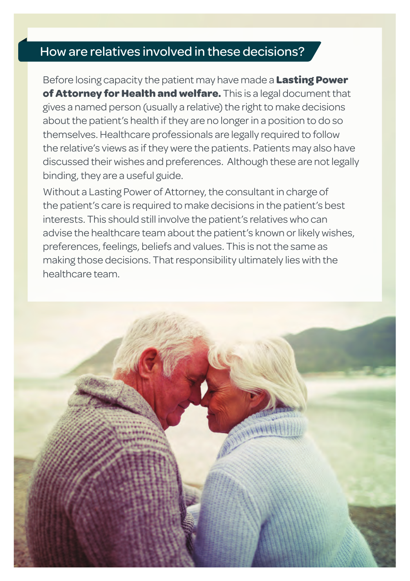# How are relatives involved in these decisions?

Before losing capacity the patient may have made a **Lasting Power of Attorney for Health and welfare.** This is a legal document that gives a named person (usually a relative) the right to make decisions about the patient's health if they are no longer in a position to do so themselves. Healthcare professionals are legally required to follow the relative's views as if they were the patients. Patients may also have discussed their wishes and preferences. Although these are not legally binding, they are a useful guide.

Without a Lasting Power of Attorney, the consultant in charge of the patient's care is required to make decisions in the patient's best interests. This should still involve the patient's relatives who can advise the healthcare team about the patient's known or likely wishes, preferences, feelings, beliefs and values. This is not the same as making those decisions. That responsibility ultimately lies with the healthcare team.

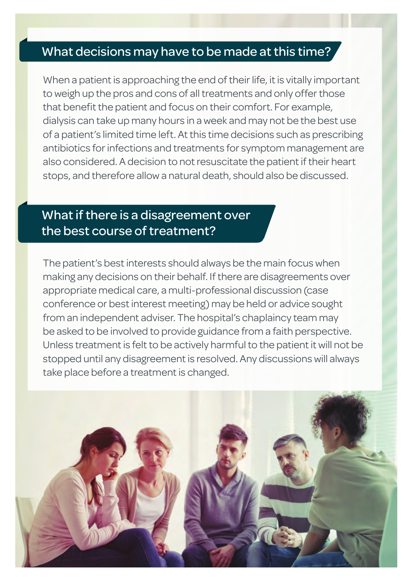#### What decisions may have to be made at this time?

When a patient is approaching the end of their life, it is vitally important to weigh up the pros and cons of all treatments and only offer those that benefit the patient and focus on their comfort. For example, dialysis can take up many hours in a week and may not be the best use of a patient's limited time left. At this time decisions such as prescribing antibiotics for infections and treatments for symptom management are also considered. A decision to not resuscitate the patient if their heart stops, and therefore allow a natural death, should also be discussed.

# What if there is a disagreement over the best course of treatment?

The patient's best interests should always be the main focus when making any decisions on their behalf. If there are disagreements over appropriate medical care, a multi-professional discussion (case conference or best interest meeting) may be held or advice sought from an independent adviser. The hospital's chaplaincy team may be asked to be involved to provide guidance from a faith perspective. Unless treatment is felt to be actively harmful to the patient it will not be stopped until any disagreement is resolved. Any discussions will always take place before a treatment is changed.